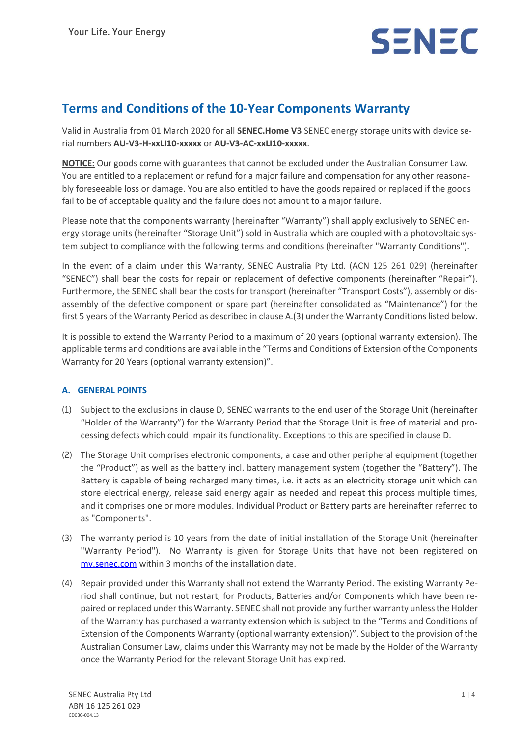

# **Terms and Conditions of the 10-Year Components Warranty**

Valid in Australia from 01 March 2020 for all **SENEC.Home V3** SENEC energy storage units with device serial numbers **AU-V3-H-xxLI10-xxxxx** or **AU-V3-AC-xxLI10-xxxxx**.

**NOTICE:** Our goods come with guarantees that cannot be excluded under the Australian Consumer Law. You are entitled to a replacement or refund for a major failure and compensation for any other reasonably foreseeable loss or damage. You are also entitled to have the goods repaired or replaced if the goods fail to be of acceptable quality and the failure does not amount to a major failure.

Please note that the components warranty (hereinafter "Warranty") shall apply exclusively to SENEC energy storage units (hereinafter "Storage Unit") sold in Australia which are coupled with a photovoltaic system subject to compliance with the following terms and conditions (hereinafter "Warranty Conditions").

In the event of a claim under this Warranty, SENEC Australia Pty Ltd. (ACN 125 261 029) (hereinafter "SENEC") shall bear the costs for repair or replacement of defective components (hereinafter "Repair"). Furthermore, the SENEC shall bear the costs for transport (hereinafter "Transport Costs"), assembly or disassembly of the defective component or spare part (hereinafter consolidated as "Maintenance") for the first 5 years of the Warranty Period as described in clause A.(3) under the Warranty Conditions listed below.

It is possible to extend the Warranty Period to a maximum of 20 years (optional warranty extension). The applicable terms and conditions are available in the "Terms and Conditions of Extension of the Components Warranty for 20 Years (optional warranty extension)".

# **A. GENERAL POINTS**

- (1) Subject to the exclusions in clause D, SENEC warrants to the end user of the Storage Unit (hereinafter "Holder of the Warranty") for the Warranty Period that the Storage Unit is free of material and processing defects which could impair its functionality. Exceptions to this are specified in clause D.
- (2) The Storage Unit comprises electronic components, a case and other peripheral equipment (together the "Product") as well as the battery incl. battery management system (together the "Battery"). The Battery is capable of being recharged many times, i.e. it acts as an electricity storage unit which can store electrical energy, release said energy again as needed and repeat this process multiple times, and it comprises one or more modules. Individual Product or Battery parts are hereinafter referred to as "Components".
- (3) The warranty period is 10 years from the date of initial installation of the Storage Unit (hereinafter "Warranty Period"). No Warranty is given for Storage Units that have not been registered on my.senec.com within 3 months of the installation date.
- (4) Repair provided under this Warranty shall not extend the Warranty Period. The existing Warranty Period shall continue, but not restart, for Products, Batteries and/or Components which have been repaired or replaced under this Warranty. SENEC shall not provide any further warranty unless the Holder of the Warranty has purchased a warranty extension which is subject to the "Terms and Conditions of Extension of the Components Warranty (optional warranty extension)". Subject to the provision of the Australian Consumer Law, claims under this Warranty may not be made by the Holder of the Warranty once the Warranty Period for the relevant Storage Unit has expired.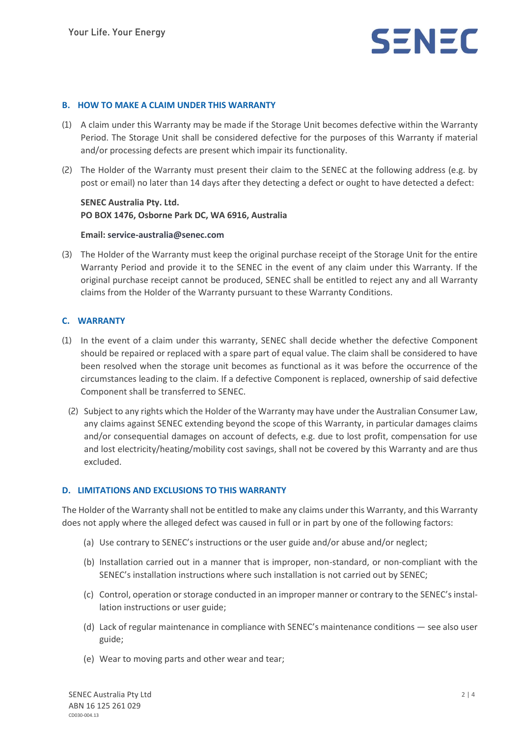

#### **B. HOW TO MAKE A CLAIM UNDER THIS WARRANTY**

- (1) A claim under this Warranty may be made if the Storage Unit becomes defective within the Warranty Period. The Storage Unit shall be considered defective for the purposes of this Warranty if material and/or processing defects are present which impair its functionality.
- (2) The Holder of the Warranty must present their claim to the SENEC at the following address (e.g. by post or email) no later than 14 days after they detecting a defect or ought to have detected a defect:

## **SENEC Australia Pty. Ltd. PO BOX 1476, Osborne Park DC, WA 6916, Australia**

#### **Email: service-australia@senec.com**

(3) The Holder of the Warranty must keep the original purchase receipt of the Storage Unit for the entire Warranty Period and provide it to the SENEC in the event of any claim under this Warranty. If the original purchase receipt cannot be produced, SENEC shall be entitled to reject any and all Warranty claims from the Holder of the Warranty pursuant to these Warranty Conditions.

#### **C. WARRANTY**

- (1) In the event of a claim under this warranty, SENEC shall decide whether the defective Component should be repaired or replaced with a spare part of equal value. The claim shall be considered to have been resolved when the storage unit becomes as functional as it was before the occurrence of the circumstances leading to the claim. If a defective Component is replaced, ownership of said defective Component shall be transferred to SENEC.
	- (2) Subject to any rights which the Holder of the Warranty may have under the Australian Consumer Law, any claims against SENEC extending beyond the scope of this Warranty, in particular damages claims and/or consequential damages on account of defects, e.g. due to lost profit, compensation for use and lost electricity/heating/mobility cost savings, shall not be covered by this Warranty and are thus excluded.

#### **D. LIMITATIONS AND EXCLUSIONS TO THIS WARRANTY**

The Holder of the Warranty shall not be entitled to make any claims under this Warranty, and this Warranty does not apply where the alleged defect was caused in full or in part by one of the following factors:

- (a) Use contrary to SENEC's instructions or the user guide and/or abuse and/or neglect;
- (b) Installation carried out in a manner that is improper, non-standard, or non-compliant with the SENEC's installation instructions where such installation is not carried out by SENEC;
- (c) Control, operation or storage conducted in an improper manner or contrary to the SENEC's installation instructions or user guide;
- (d) Lack of regular maintenance in compliance with SENEC's maintenance conditions see also user guide;
- (e) Wear to moving parts and other wear and tear;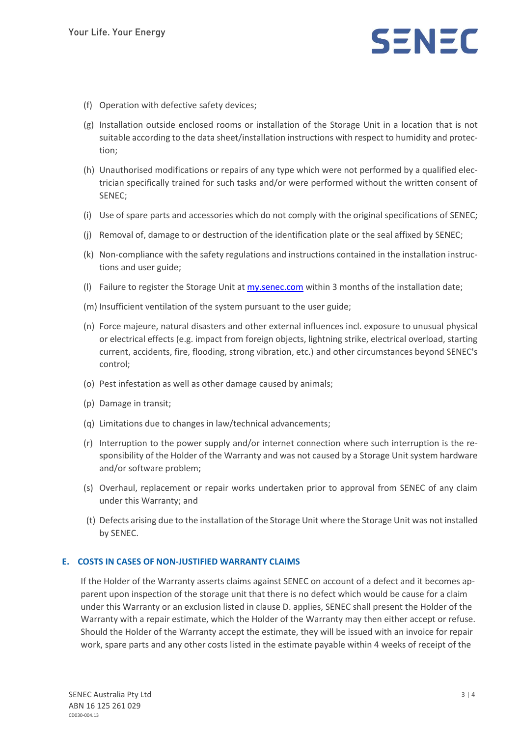# SENEC

- (f) Operation with defective safety devices;
- (g) Installation outside enclosed rooms or installation of the Storage Unit in a location that is not suitable according to the data sheet/installation instructions with respect to humidity and protection;
- (h) Unauthorised modifications or repairs of any type which were not performed by a qualified electrician specifically trained for such tasks and/or were performed without the written consent of SENEC;
- (i) Use of spare parts and accessories which do not comply with the original specifications of SENEC;
- (j) Removal of, damage to or destruction of the identification plate or the seal affixed by SENEC;
- (k) Non-compliance with the safety regulations and instructions contained in the installation instructions and user guide;
- (l) Failure to register the Storage Unit at my.senec.com within 3 months of the installation date;
- (m) Insufficient ventilation of the system pursuant to the user guide;
- (n) Force majeure, natural disasters and other external influences incl. exposure to unusual physical or electrical effects (e.g. impact from foreign objects, lightning strike, electrical overload, starting current, accidents, fire, flooding, strong vibration, etc.) and other circumstances beyond SENEC's control;
- (o) Pest infestation as well as other damage caused by animals;
- (p) Damage in transit;
- (q) Limitations due to changes in law/technical advancements;
- (r) Interruption to the power supply and/or internet connection where such interruption is the responsibility of the Holder of the Warranty and was not caused by a Storage Unit system hardware and/or software problem;
- (s) Overhaul, replacement or repair works undertaken prior to approval from SENEC of any claim under this Warranty; and
- (t) Defects arising due to the installation of the Storage Unit where the Storage Unit was not installed by SENEC.

#### **E. COSTS IN CASES OF NON-JUSTIFIED WARRANTY CLAIMS**

If the Holder of the Warranty asserts claims against SENEC on account of a defect and it becomes apparent upon inspection of the storage unit that there is no defect which would be cause for a claim under this Warranty or an exclusion listed in clause D. applies, SENEC shall present the Holder of the Warranty with a repair estimate, which the Holder of the Warranty may then either accept or refuse. Should the Holder of the Warranty accept the estimate, they will be issued with an invoice for repair work, spare parts and any other costs listed in the estimate payable within 4 weeks of receipt of the